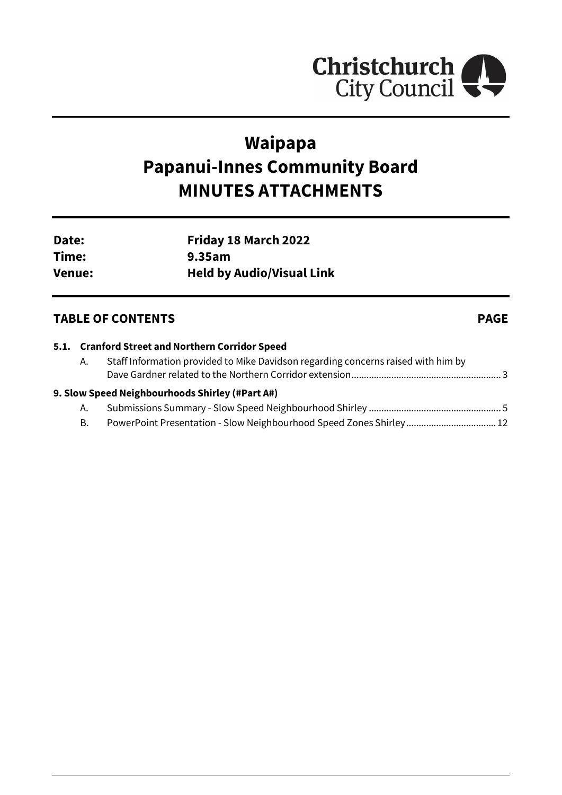

### **Waipapa Papanui-Innes Community Board MINUTES ATTACHMENTS**

| Date:  | Friday 18 March 2022             |
|--------|----------------------------------|
| Time:  | 9.35am                           |
| Venue: | <b>Held by Audio/Visual Link</b> |

#### **TABLE OF CONTENTS PAGE**

| 5.1. Cranford Street and Northern Corridor Speed |                                                                                   |  |  |  |
|--------------------------------------------------|-----------------------------------------------------------------------------------|--|--|--|
| A.                                               | Staff Information provided to Mike Davidson regarding concerns raised with him by |  |  |  |
|                                                  | 9. Slow Speed Neighbourhoods Shirley (#Part A#)                                   |  |  |  |
| А.                                               |                                                                                   |  |  |  |
| В.                                               | PowerPoint Presentation - Slow Neighbourhood Speed Zones Shirley 12               |  |  |  |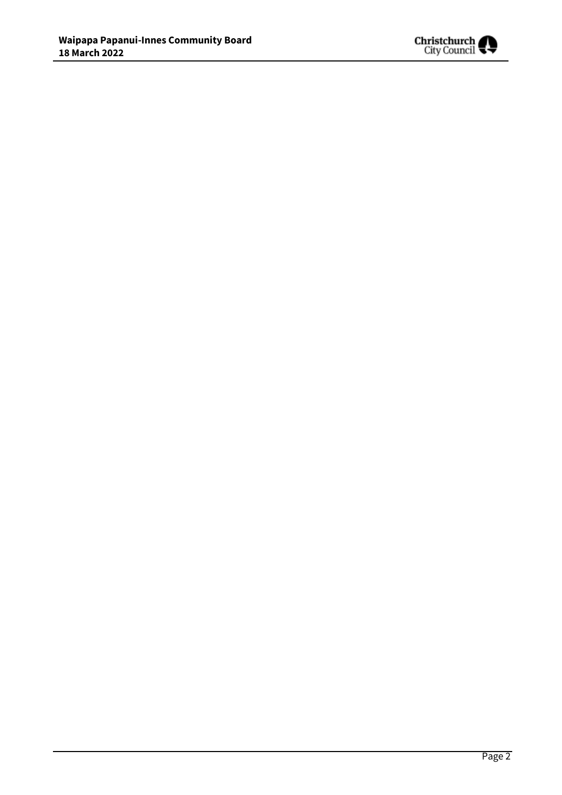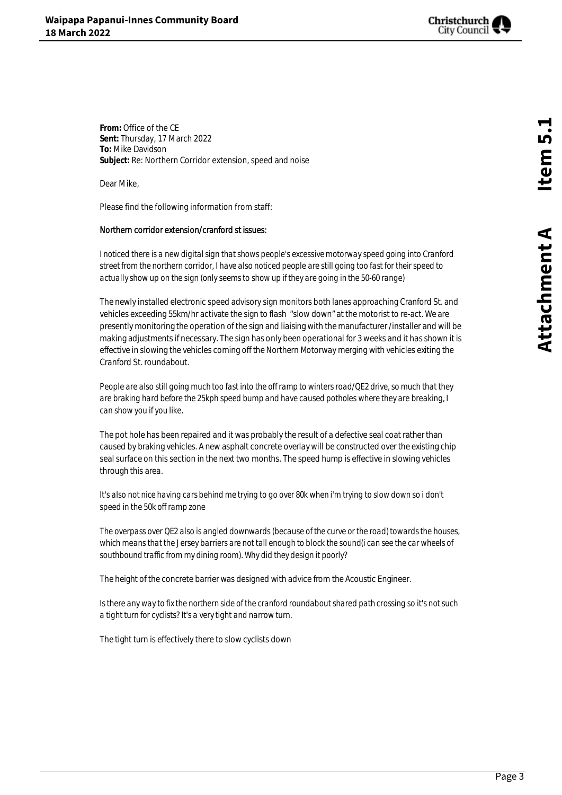<span id="page-2-0"></span>**From:** Office of the CE **Sent:** Thursday, 17 March 2022 **To:** Mike Davidson **Subject:** Re: Northern Corridor extension, speed and noise

Dear Mike,

Please find the following information from staff:

#### Northern corridor extension/cranford st issues:

*I noticed there is a new digital sign that shows people's excessive motorway speed going into Cranford street from the northern corridor, I have also noticed people are still going too fast for their speed to actually show up on the sign (only seems to show up if they are going in the 50-60 range)*

The newly installed electronic speed advisory sign monitors both lanes approaching Cranford St. and vehicles exceeding 55km/hr activate the sign to flash "slow down" at the motorist to re-act. We are presently monitoring the operation of the sign and liaising with the manufacturer /installer and will be making adjustments if necessary. The sign has only been operational for 3 weeks and it has shown it is effective in slowing the vehicles coming off the Northern Motorway merging with vehicles exiting the Cranford St. roundabout.

*People are also still going much too fast into the off ramp to winters road/QE2 drive, so much that they are braking hard before the 25kph speed bump and have caused potholes where they are breaking, I can show you if you like.*

The pot hole has been repaired and it was probably the result of a defective seal coat rather than caused by braking vehicles. A new asphalt concrete overlay will be constructed over the existing chip seal surface on this section in the next two months. The speed hump is effective in slowing vehicles through this area.

*It's also not nice having cars behind me trying to go over 80k when i'm trying to slow down so i don't speed in the 50k off ramp zone*

*The overpass over QE2 also is angled downwards (because of the curve or the road) towards the houses, which means that the Jersey barriers are not tall enough to block the sound(i can see the car wheels of southbound traffic from my dining room). Why did they design it poorly?*

The height of the concrete barrier was designed with advice from the Acoustic Engineer.

*Is there any way to fix the northern side of the cranford roundabout shared path crossing so it's not such a tight turn for cyclists? It's a very tight and narrow turn.*

The tight turn is effectively there to slow cyclists down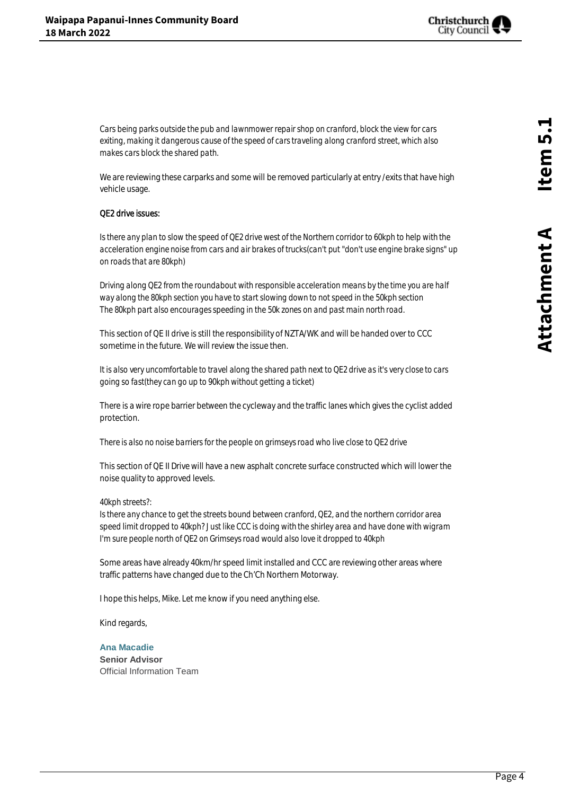*Cars being parks outside the pub and lawnmower repair shop on cranford, block the view for cars exiting, making it dangerous cause of the speed of cars traveling along cranford street, which also makes cars block the shared path.*

We are reviewing these carparks and some will be removed particularly at entry /exits that have high vehicle usage.

#### QE2 drive issues:

*Is there any plan to slow the speed of QE2 drive west of the Northern corridor to 60kph to help with the acceleration engine noise from cars and air brakes of trucks(can't put "don't use engine brake signs" up on roads that are 80kph)*

*Driving along QE2 from the roundabout with responsible acceleration means by the time you are half way along the 80kph section you have to start slowing down to not speed in the 50kph section The 80kph part also encourages speeding in the 50k zones on and past main north road.*

This section of QE II drive is still the responsibility of NZTA/WK and will be handed over to CCC sometime in the future. We will review the issue then.

*It is also very uncomfortable to travel along the shared path next to QE2 drive as it's very close to cars going so fast(they can go up to 90kph without getting a ticket)*

There is a wire rope barrier between the cycleway and the traffic lanes which gives the cyclist added protection.

*There is also no noise barriers for the people on grimseys road who live close to QE2 drive*

This section of QE II Drive will have a new asphalt concrete surface constructed which will lower the noise quality to approved levels.

#### *40kph streets?:*

*Is there any chance to get the streets bound between cranford, QE2, and the northern corridor area speed limit dropped to 40kph? Just like CCC is doing with the shirley area and have done with wigram I'm sure people north of QE2 on Grimseys road would also love it dropped to 40kph*

Some areas have already 40km/hr speed limit installed and CCC are reviewing other areas where traffic patterns have changed due to the Ch'Ch Northern Motorway.

I hope this helps, Mike. Let me know if you need anything else.

Kind regards,

**Ana Macadie Senior Advisor** Official Information Team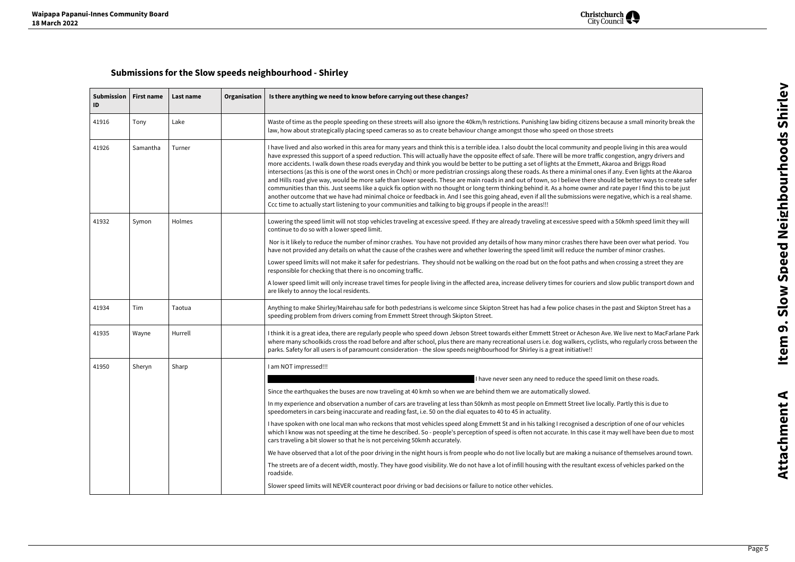<span id="page-4-0"></span>

| Submission  <br>ID | <b>First name</b> | Last name | Organisation | Is there anything we need to know before carrying out these changes?                                                                                                                                                                                                                                                                                                                                                                                                                                                                                                                                                                                                                                                                                                                                                                                                                                                                                                                                                                                                                |
|--------------------|-------------------|-----------|--------------|-------------------------------------------------------------------------------------------------------------------------------------------------------------------------------------------------------------------------------------------------------------------------------------------------------------------------------------------------------------------------------------------------------------------------------------------------------------------------------------------------------------------------------------------------------------------------------------------------------------------------------------------------------------------------------------------------------------------------------------------------------------------------------------------------------------------------------------------------------------------------------------------------------------------------------------------------------------------------------------------------------------------------------------------------------------------------------------|
| 41916              | Tony              | Lake      |              | Waste of time as the people speeding on these streets will also ignore the 40km/h restrictions. Punishing law biding citizens beca<br>law, how about strategically placing speed cameras so as to create behaviour change amongst those who speed on those streets                                                                                                                                                                                                                                                                                                                                                                                                                                                                                                                                                                                                                                                                                                                                                                                                                  |
| 41926              | Samantha          | Turner    |              | I have lived and also worked in this area for many years and think this is a terrible idea. I also doubt the local community and pec<br>have expressed this support of a speed reduction. This will actually have the opposite effect of safe. There will be more traffic cor<br>more accidents. I walk down these roads everyday and think you would be better to be putting a set of lights at the Emmett, Aka<br>intersections (as this is one of the worst ones in Chch) or more pedistrian crossings along these roads. As there a minimal ones if<br>and Hills road give way, would be more safe than lower speeds. These are main roads in and out of town, so I believe there should<br>communities than this. Just seems like a quick fix option with no thought or long term thinking behind it. As a home owner and r<br>another outcome that we have had minimal choice or feedback in. And I see this going ahead, even if all the submissions were ne<br>Ccc time to actually start listening to your communities and talking to big groups if people in the areas!!! |
| 41932              | Symon             | Holmes    |              | Lowering the speed limit will not stop vehicles traveling at excessive speed. If they are already traveling at excessive speed with a<br>continue to do so with a lower speed limit.                                                                                                                                                                                                                                                                                                                                                                                                                                                                                                                                                                                                                                                                                                                                                                                                                                                                                                |
|                    |                   |           |              | Nor is it likely to reduce the number of minor crashes. You have not provided any details of how many minor crashes there have<br>have not provided any details on what the cause of the crashes were and whether lowering the speed limit will reduce the numbe                                                                                                                                                                                                                                                                                                                                                                                                                                                                                                                                                                                                                                                                                                                                                                                                                    |
|                    |                   |           |              | Lower speed limits will not make it safer for pedestrians. They should not be walking on the road but on the foot paths and wher<br>responsible for checking that there is no oncoming traffic.                                                                                                                                                                                                                                                                                                                                                                                                                                                                                                                                                                                                                                                                                                                                                                                                                                                                                     |
|                    |                   |           |              | A lower speed limit will only increase travel times for people living in the affected area, increase delivery times for couriers and sl<br>are likely to annoy the local residents.                                                                                                                                                                                                                                                                                                                                                                                                                                                                                                                                                                                                                                                                                                                                                                                                                                                                                                 |
| 41934              | Tim               | Taotua    |              | Anything to make Shirley/Mairehau safe for both pedestrians is welcome since Skipton Street has had a few police chases in the<br>speeding problem from drivers coming from Emmett Street through Skipton Street.                                                                                                                                                                                                                                                                                                                                                                                                                                                                                                                                                                                                                                                                                                                                                                                                                                                                   |
| 41935              | Wayne             | Hurrell   |              | I think it is a great idea, there are regularly people who speed down Jebson Street towards either Emmett Street or Acheson Ave.<br>where many schoolkids cross the road before and after school, plus there are many recreational users i.e. dog walkers, cyclists, w<br>parks. Safety for all users is of paramount consideration - the slow speeds neighbourhood for Shirley is a great initiative!!                                                                                                                                                                                                                                                                                                                                                                                                                                                                                                                                                                                                                                                                             |
| 41950              | Sheryn            | Sharp     |              | I am NOT impressed!!!                                                                                                                                                                                                                                                                                                                                                                                                                                                                                                                                                                                                                                                                                                                                                                                                                                                                                                                                                                                                                                                               |
|                    |                   |           |              | have never seen any need to reduce the speed lim                                                                                                                                                                                                                                                                                                                                                                                                                                                                                                                                                                                                                                                                                                                                                                                                                                                                                                                                                                                                                                    |
|                    |                   |           |              | Since the earthquakes the buses are now traveling at 40 kmh so when we are behind them we are automatically slowed.                                                                                                                                                                                                                                                                                                                                                                                                                                                                                                                                                                                                                                                                                                                                                                                                                                                                                                                                                                 |
|                    |                   |           |              | In my experience and observation a number of cars are traveling at less than 50kmh as most people on Emmett Street live locally<br>speedometers in cars being inaccurate and reading fast, i.e. 50 on the dial equates to 40 to 45 in actuality.                                                                                                                                                                                                                                                                                                                                                                                                                                                                                                                                                                                                                                                                                                                                                                                                                                    |
|                    |                   |           |              | I have spoken with one local man who reckons that most vehicles speed along Emmett St and in his talking I recognised a descrip<br>which I know was not speeding at the time he described. So - people's perception of speed is often not accurate. In this case it m<br>cars traveling a bit slower so that he is not perceiving 50kmh accurately.                                                                                                                                                                                                                                                                                                                                                                                                                                                                                                                                                                                                                                                                                                                                 |
|                    |                   |           |              | We have observed that a lot of the poor driving in the night hours is from people who do not live locally but are making a nuisanc                                                                                                                                                                                                                                                                                                                                                                                                                                                                                                                                                                                                                                                                                                                                                                                                                                                                                                                                                  |
|                    |                   |           |              | The streets are of a decent width, mostly. They have good visibility. We do not have a lot of infill housing with the resultant exces<br>roadside.                                                                                                                                                                                                                                                                                                                                                                                                                                                                                                                                                                                                                                                                                                                                                                                                                                                                                                                                  |
|                    |                   |           |              | Slower speed limits will NEVER counteract poor driving or bad decisions or failure to notice other vehicles.                                                                                                                                                                                                                                                                                                                                                                                                                                                                                                                                                                                                                                                                                                                                                                                                                                                                                                                                                                        |

because a small minority break the

1 people living in this area would fic congestion, angry drivers and , Akaroa and Briggs Road nes if any. Even lights at the Akaroa hould be better ways to create safer and rate payer I find this to be just re negative, which is a real shame.

with a 50kmh speed limit they will

- have been over what period. You umber of minor crashes.
- when crossing a street they are
- nd slow public transport down and
- the past and Skipton Street has a

ا Ave. We live next to MacFarlane Park ists, who regularly cross between the

ed limit on these roads.

- In musters and ocally. Partly this is due to cally. Partly than  $\mathbf{r}_i$
- escription of one of our vehicles it may well have been due to most
- isance of themselves around town.
- excess of vehicles parked on the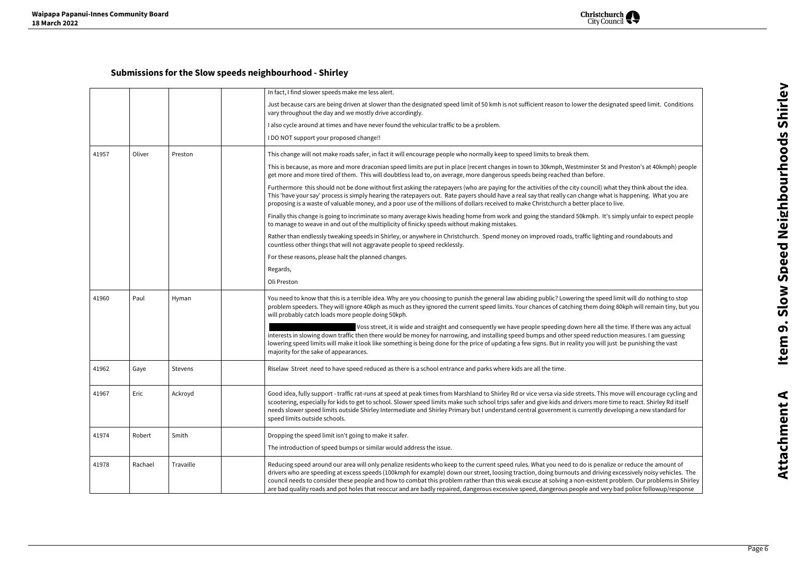|       |         |           | In fact, I find slower speeds make me less alert.                                                                                                                                                                                                                                                                                                                                                                                                                                                                                                    |
|-------|---------|-----------|------------------------------------------------------------------------------------------------------------------------------------------------------------------------------------------------------------------------------------------------------------------------------------------------------------------------------------------------------------------------------------------------------------------------------------------------------------------------------------------------------------------------------------------------------|
|       |         |           | Just because cars are being driven at slower than the designated speed limit of 50 kmh is not sufficient reason to lower the designate<br>vary throughout the day and we mostly drive accordingly.                                                                                                                                                                                                                                                                                                                                                   |
|       |         |           | I also cycle around at times and have never found the vehicular traffic to be a problem.                                                                                                                                                                                                                                                                                                                                                                                                                                                             |
|       |         |           | I DO NOT support your proposed change!!                                                                                                                                                                                                                                                                                                                                                                                                                                                                                                              |
| 41957 | Oliver  | Preston   | This change will not make roads safer, in fact it will encourage people who normally keep to speed limits to break them.                                                                                                                                                                                                                                                                                                                                                                                                                             |
|       |         |           | This is because, as more and more draconian speed limits are put in place (recent changes in town to 30kmph, Westminster St and Pi<br>get more and more tired of them. This will doubtless lead to, on average, more dangerous speeds being reached than before.                                                                                                                                                                                                                                                                                     |
|       |         |           | Furthermore this should not be done without first asking the ratepayers (who are paying for the activities of the city council) what th<br>This 'have your say' process is simply hearing the ratepayers out. Rate payers should have a real say that really can change what is ha<br>proposing is a waste of valuable money, and a poor use of the millions of dollars received to make Christchurch a better place to live.                                                                                                                        |
|       |         |           | Finally this change is going to incriminate so many average kiwis heading home from work and going the standard 50kmph. It's simp<br>to manage to weave in and out of the multiplicity of finicky speeds without making mistakes.                                                                                                                                                                                                                                                                                                                    |
|       |         |           | Rather than endlessly tweaking speeds in Shirley, or anywhere in Christchurch. Spend money on improved roads, traffic lighting and<br>countless other things that will not aggravate people to speed recklessly.                                                                                                                                                                                                                                                                                                                                     |
|       |         |           | For these reasons, please halt the planned changes.                                                                                                                                                                                                                                                                                                                                                                                                                                                                                                  |
|       |         |           | Regards,                                                                                                                                                                                                                                                                                                                                                                                                                                                                                                                                             |
|       |         |           | Oli Preston                                                                                                                                                                                                                                                                                                                                                                                                                                                                                                                                          |
| 41960 | Paul    | Hyman     | You need to know that this is a terrible idea. Why are you choosing to punish the general law abiding public? Lowering the speed limi<br>problem speeders. They will ignore 40kph as much as they ignored the current speed limits. Your chances of catching them doing 80l<br>will probably catch loads more people doing 50kph.                                                                                                                                                                                                                    |
|       |         |           | Voss street, it is wide and straight and consequently we have people speeding down here all the tim<br>interests in slowing down traffic then there would be money for narrowing, and installing speed bumps and other speed reduction m<br>lowering speed limits will make it look like something is being done for the price of updating a few signs. But in reality you will just b<br>majority for the sake of appearances.                                                                                                                      |
| 41962 | Gaye    | Stevens   | Riselaw Street need to have speed reduced as there is a school entrance and parks where kids are all the time.                                                                                                                                                                                                                                                                                                                                                                                                                                       |
| 41967 | Eric    | Ackroyd   | Good idea, fully support - traffic rat-runs at speed at peak times from Marshland to Shirley Rd or vice versa via side streets. This move<br>scootering, especially for kids to get to school. Slower speed limits make such school trips safer and give kids and drivers more time t<br>needs slower speed limits outside Shirley Intermediate and Shirley Primary but I understand central government is currently develop<br>speed limits outside schools.                                                                                        |
| 41974 | Robert  | Smith     | Dropping the speed limit isn't going to make it safer.                                                                                                                                                                                                                                                                                                                                                                                                                                                                                               |
|       |         |           | The introduction of speed bumps or similar would address the issue.                                                                                                                                                                                                                                                                                                                                                                                                                                                                                  |
| 41978 | Rachael | Travaille | Reducing speed around our area will only penalize residents who keep to the current speed rules. What you need to do is penalize or<br>drivers who are speeding at excess speeds (100kmph for example) down our street, loosing traction, doing burnouts and driving exce<br>council needs to consider these people and how to combat this problem rather than this weak excuse at solving a non-existent probl<br>are bad quality roads and pot holes that reoccur and are badly repaired, dangerous excessive speed, dangerous people and very bad |

designated speed limit. Conditions

r St and Preston's at 40kmph) people

il) what they think about the idea. what is happening. What you are<br>ace to live.

It's simply unfair to expect people

ghting and roundabouts and

speed limit will do nothing to stop doing 80kph will remain tiny, but you

all the time. If there was any actual duction measures. I am guessing will just be punishing the vast

This move will encourage cycling and ore time to react. Shirley Rd itself Iy developing a new standard for

enalize or reduce the amount of iving excessively noisy vehicles. The tent problem. Our problems in Shirley d very bad police followup/response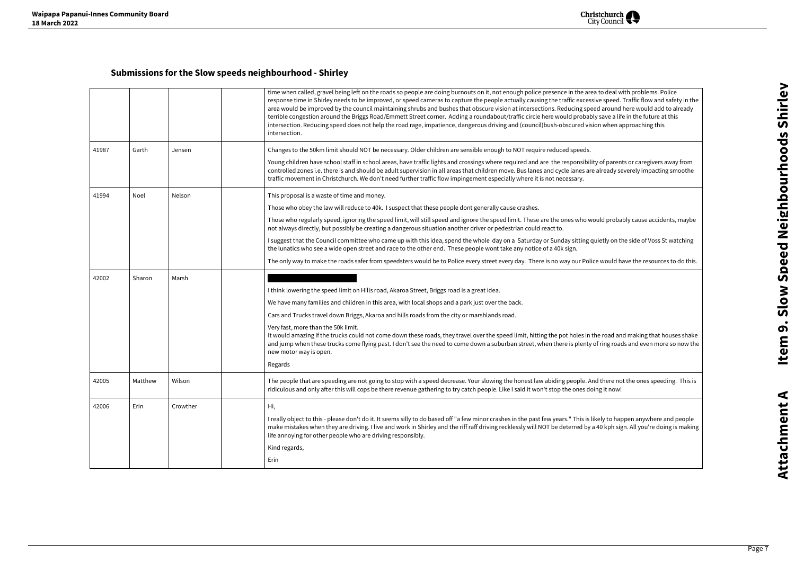|       |         |          | time when called, gravel being left on the roads so people are doing burnouts on it, not enough police presence in the area to deal w<br>response time in Shirley needs to be improved, or speed cameras to capture the people actually causing the traffic excessive speed.<br>area would be improved by the council maintaining shrubs and bushes that obscure vision at intersections. Reducing speed around<br>terrible congestion around the Briggs Road/Emmett Street corner. Adding a roundabout/traffic circle here would probably save a lif<br>intersection. Reducing speed does not help the road rage, impatience, dangerous driving and (council)bush-obscured vision when a<br>intersection. |
|-------|---------|----------|------------------------------------------------------------------------------------------------------------------------------------------------------------------------------------------------------------------------------------------------------------------------------------------------------------------------------------------------------------------------------------------------------------------------------------------------------------------------------------------------------------------------------------------------------------------------------------------------------------------------------------------------------------------------------------------------------------|
| 41987 | Garth   | Jensen   | Changes to the 50km limit should NOT be necessary. Older children are sensible enough to NOT require reduced speeds.                                                                                                                                                                                                                                                                                                                                                                                                                                                                                                                                                                                       |
|       |         |          | Young children have school staff in school areas, have traffic lights and crossings where required and are the responsibility of paren<br>controlled zones i.e. there is and should be adult supervision in all areas that children move. Bus lanes and cycle lanes are already so<br>traffic movement in Christchurch. We don't need further traffic flow impingement especially where it is not necessary.                                                                                                                                                                                                                                                                                               |
| 41994 | Noel    | Nelson   | This proposal is a waste of time and money.                                                                                                                                                                                                                                                                                                                                                                                                                                                                                                                                                                                                                                                                |
|       |         |          | Those who obey the law will reduce to 40k. I suspect that these people dont generally cause crashes.                                                                                                                                                                                                                                                                                                                                                                                                                                                                                                                                                                                                       |
|       |         |          | Those who regularly speed, ignoring the speed limit, will still speed and ignore the speed limit. These are the ones who would proba<br>not always directly, but possibly be creating a dangerous situation another driver or pedestrian could react to.                                                                                                                                                                                                                                                                                                                                                                                                                                                   |
|       |         |          | I suggest that the Council committee who came up with this idea, spend the whole day on a Saturday or Sunday sitting quietly on t<br>the lunatics who see a wide open street and race to the other end. These people wont take any notice of a 40k sign.                                                                                                                                                                                                                                                                                                                                                                                                                                                   |
|       |         |          | The only way to make the roads safer from speedsters would be to Police every street every day. There is no way our Police would h                                                                                                                                                                                                                                                                                                                                                                                                                                                                                                                                                                         |
| 42002 | Sharon  | Marsh    |                                                                                                                                                                                                                                                                                                                                                                                                                                                                                                                                                                                                                                                                                                            |
|       |         |          | I think lowering the speed limit on Hills road, Akaroa Street, Briggs road is a great idea.                                                                                                                                                                                                                                                                                                                                                                                                                                                                                                                                                                                                                |
|       |         |          | We have many families and children in this area, with local shops and a park just over the back.                                                                                                                                                                                                                                                                                                                                                                                                                                                                                                                                                                                                           |
|       |         |          | Cars and Trucks travel down Briggs, Akaroa and hills roads from the city or marshlands road.                                                                                                                                                                                                                                                                                                                                                                                                                                                                                                                                                                                                               |
|       |         |          | Very fast, more than the 50k limit.<br>It would amazing if the trucks could not come down these roads, they travel over the speed limit, hitting the pot holes in the road ar<br>and jump when these trucks come flying past. I don't see the need to come down a suburban street, when there is plenty of ring road<br>new motor way is open.                                                                                                                                                                                                                                                                                                                                                             |
|       |         |          | Regards                                                                                                                                                                                                                                                                                                                                                                                                                                                                                                                                                                                                                                                                                                    |
| 42005 | Matthew | Wilson   | The people that are speeding are not going to stop with a speed decrease. Your slowing the honest law abiding people. And there no<br>ridiculous and only after this will cops be there revenue gathering to try catch people. Like I said it won't stop the ones doing it now!                                                                                                                                                                                                                                                                                                                                                                                                                            |
| 42006 | Erin    | Crowther | Hi,                                                                                                                                                                                                                                                                                                                                                                                                                                                                                                                                                                                                                                                                                                        |
|       |         |          | I really object to this - please don't do it. It seems silly to do based off "a few minor crashes in the past few years." This is likely to ha<br>make mistakes when they are driving. I live and work in Shirley and the riff raff driving recklessly will NOT be deterred by a 40 kph sig<br>life annoying for other people who are driving responsibly.                                                                                                                                                                                                                                                                                                                                                 |
|       |         |          | Kind regards,                                                                                                                                                                                                                                                                                                                                                                                                                                                                                                                                                                                                                                                                                              |
|       |         |          | Erin                                                                                                                                                                                                                                                                                                                                                                                                                                                                                                                                                                                                                                                                                                       |
|       |         |          |                                                                                                                                                                                                                                                                                                                                                                                                                                                                                                                                                                                                                                                                                                            |

to deal with problems. Police  $\alpha$ e speed. Traffic flow and safety in the I around here would add to already save a life in the future at this n when approaching this

of parents or caregivers away from already severely impacting smoothe

Id probably cause accidents, maybe

ietly on the side of Voss St watching

e would have the resources to do this.

e road and making that houses shake f ring roads and even more so now the

d there not the ones speeding. This is

ely to happen anywhere and people make mistakes when they drive driving.<br>10 kph sign. All you're doing is making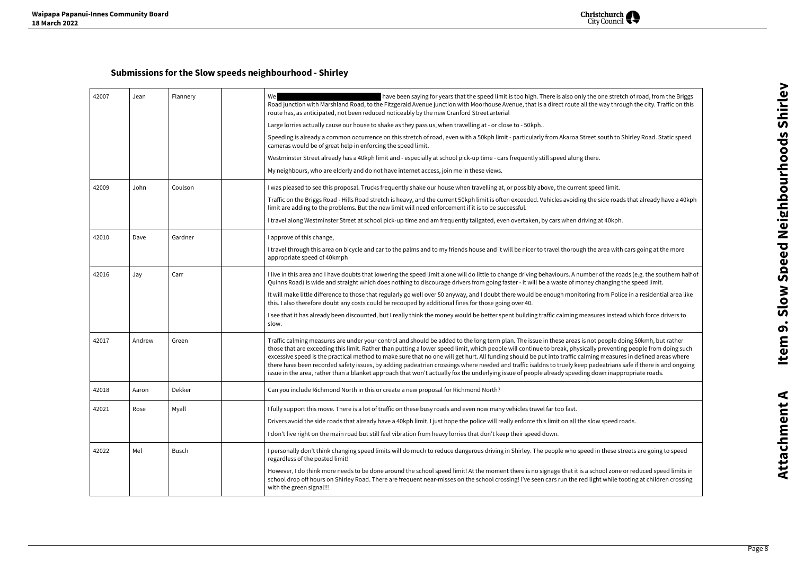| 42007 | Jean   | Flannery | We<br>have been saying for years that the speed limit is too high. There is also only the one stretch of road, from the Brig<br>Road junction with Marshland Road, to the Fitzgerald Avenue junction with Moorhouse Avenue, that is a direct route all the way through the city. Traffic on the<br>route has, as anticipated, not been reduced noticeably by the new Cranford Street arterial                                                                                                                                                                                                                                                                                                                                                                                                                         |
|-------|--------|----------|-----------------------------------------------------------------------------------------------------------------------------------------------------------------------------------------------------------------------------------------------------------------------------------------------------------------------------------------------------------------------------------------------------------------------------------------------------------------------------------------------------------------------------------------------------------------------------------------------------------------------------------------------------------------------------------------------------------------------------------------------------------------------------------------------------------------------|
|       |        |          | Large lorries actually cause our house to shake as they pass us, when travelling at - or close to - 50kph                                                                                                                                                                                                                                                                                                                                                                                                                                                                                                                                                                                                                                                                                                             |
|       |        |          | Speeding is already a common occurrence on this stretch of road, even with a 50kph limit - particularly from Akaroa Street south to Shirley Road. Static spee<br>cameras would be of great help in enforcing the speed limit.                                                                                                                                                                                                                                                                                                                                                                                                                                                                                                                                                                                         |
|       |        |          | Westminster Street already has a 40kph limit and - especially at school pick-up time - cars frequently still speed along there.                                                                                                                                                                                                                                                                                                                                                                                                                                                                                                                                                                                                                                                                                       |
|       |        |          | My neighbours, who are elderly and do not have internet access, join me in these views.                                                                                                                                                                                                                                                                                                                                                                                                                                                                                                                                                                                                                                                                                                                               |
| 42009 | John   | Coulson  | I was pleased to see this proposal. Trucks frequently shake our house when travelling at, or possibly above, the current speed limit.                                                                                                                                                                                                                                                                                                                                                                                                                                                                                                                                                                                                                                                                                 |
|       |        |          | Traffic on the Briggs Road - Hills Road stretch is heavy, and the current 50kph limit is often exceeded. Vehicles avoiding the side roads that already have a 40<br>limit are adding to the problems. But the new limit will need enforcement if it is to be successful.                                                                                                                                                                                                                                                                                                                                                                                                                                                                                                                                              |
|       |        |          | I travel along Westminster Street at school pick-up time and am frequently tailgated, even overtaken, by cars when driving at 40kph.                                                                                                                                                                                                                                                                                                                                                                                                                                                                                                                                                                                                                                                                                  |
| 42010 | Dave   | Gardner  | I approve of this change,                                                                                                                                                                                                                                                                                                                                                                                                                                                                                                                                                                                                                                                                                                                                                                                             |
|       |        |          | I travel through this area on bicycle and car to the palms and to my friends house and it will be nicer to travel thorough the area with cars going at the more<br>appropriate speed of 40kmph                                                                                                                                                                                                                                                                                                                                                                                                                                                                                                                                                                                                                        |
| 42016 | Jay    | Carr     | I live in this area and I have doubts that lowering the speed limit alone will do little to change driving behaviours. A number of the roads (e.g. the southern ha<br>Quinns Road) is wide and straight which does nothing to discourage drivers from going faster - it will be a waste of money changing the speed limit.                                                                                                                                                                                                                                                                                                                                                                                                                                                                                            |
|       |        |          | It will make little difference to those that regularly go well over 50 anyway, and I doubt there would be enough monitoring from Police in a residential area lil<br>this. I also therefore doubt any costs could be recouped by additional fines for those going over 40.                                                                                                                                                                                                                                                                                                                                                                                                                                                                                                                                            |
|       |        |          | I see that it has already been discounted, but I really think the money would be better spent building traffic calming measures instead which force drivers to<br>slow.                                                                                                                                                                                                                                                                                                                                                                                                                                                                                                                                                                                                                                               |
| 42017 | Andrew | Green    | Traffic calming measures are under your control and should be added to the long term plan. The issue in these areas is not people doing 50kmh, but rather<br>those that are exceeding this limit. Rather than putting a lower speed limit, which people will continue to break, physically preventing people from doing suo<br>excessive speed is the practical method to make sure that no one will get hurt. All funding should be put into traffic calming measures in defined areas where<br>there have been recorded safety issues, by adding padeatrian crossings where needed and traffic isaldns to truely keep padeatrians safe if there is and ongoi<br>issue in the area, rather than a blanket approach that won't actually fox the underlying issue of people already speeding down inappropriate roads. |
| 42018 | Aaron  | Dekker   | Can you include Richmond North in this or create a new proposal for Richmond North?                                                                                                                                                                                                                                                                                                                                                                                                                                                                                                                                                                                                                                                                                                                                   |
| 42021 | Rose   | Myall    | I fully support this move. There is a lot of traffic on these busy roads and even now many vehicles travel far too fast.                                                                                                                                                                                                                                                                                                                                                                                                                                                                                                                                                                                                                                                                                              |
|       |        |          | Drivers avoid the side roads that already have a 40kph limit. I just hope the police will really enforce this limit on all the slow speed roads.                                                                                                                                                                                                                                                                                                                                                                                                                                                                                                                                                                                                                                                                      |
|       |        |          | I don't live right on the main road but still feel vibration from heavy lorries that don't keep their speed down.                                                                                                                                                                                                                                                                                                                                                                                                                                                                                                                                                                                                                                                                                                     |
| 42022 | Mel    | Busch    | I personally don't think changing speed limits will do much to reduce dangerous driving in Shirley. The people who speed in these streets are going to speed<br>regardless of the posted limit!                                                                                                                                                                                                                                                                                                                                                                                                                                                                                                                                                                                                                       |
|       |        |          | However, I do think more needs to be done around the school speed limit! At the moment there is no signage that it is a school zone or reduced speed limits<br>school drop off hours on Shirley Road. There are frequent near-misses on the school crossing! I've seen cars run the red light while tooting at children crossir<br>with the green signal!!!                                                                                                                                                                                                                                                                                                                                                                                                                                                           |

one stretch of road, from the Briggs way through the city. Traffic on this

side roads that already have a 40kph

of the roads (e.g. the southern half of hanging the speed limit.

from Police in a residential area like

people doing 50kmh, but rather preventing people from doing such exects<br>Interaction method to make resure that no one put into the put into the put into the put in the put into the p teatrians safe if there is and ongoing wn inappropriate roads.

nool zone or reduced speed limits in nt while tooting at children crossing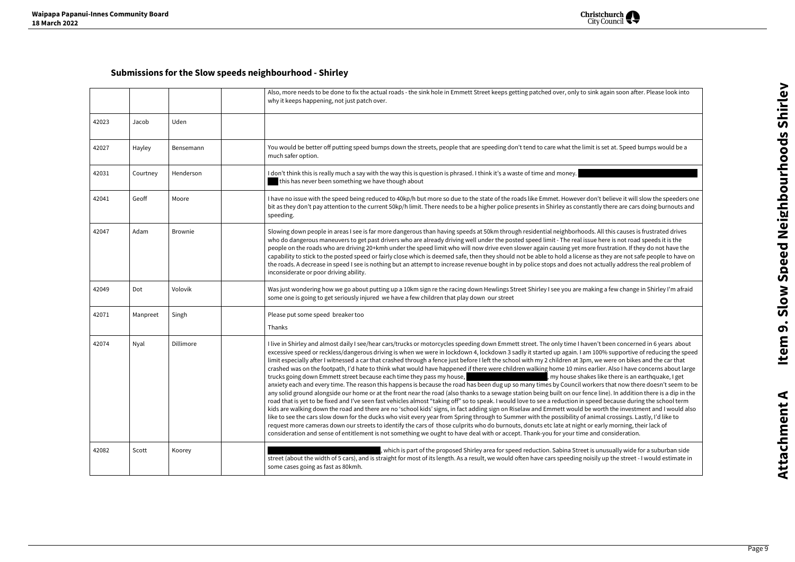|       |          |                | Also, more needs to be done to fix the actual roads - the sink hole in Emmett Street keeps getting patched over, only to sink again soon after. Please look into<br>why it keeps happening, not just patch over.                                                                                                                                                                                                                                                                                                                                                                                                                                                                                                                                                                                                                                                                                                                                                                                                                                                                                                                                                                                                                                                                                                                                                                                                                                                                                                                                                                                                                                                                                                                                                                                                                                                                                                                                         |
|-------|----------|----------------|----------------------------------------------------------------------------------------------------------------------------------------------------------------------------------------------------------------------------------------------------------------------------------------------------------------------------------------------------------------------------------------------------------------------------------------------------------------------------------------------------------------------------------------------------------------------------------------------------------------------------------------------------------------------------------------------------------------------------------------------------------------------------------------------------------------------------------------------------------------------------------------------------------------------------------------------------------------------------------------------------------------------------------------------------------------------------------------------------------------------------------------------------------------------------------------------------------------------------------------------------------------------------------------------------------------------------------------------------------------------------------------------------------------------------------------------------------------------------------------------------------------------------------------------------------------------------------------------------------------------------------------------------------------------------------------------------------------------------------------------------------------------------------------------------------------------------------------------------------------------------------------------------------------------------------------------------------|
| 42023 | Jacob    | Uden           |                                                                                                                                                                                                                                                                                                                                                                                                                                                                                                                                                                                                                                                                                                                                                                                                                                                                                                                                                                                                                                                                                                                                                                                                                                                                                                                                                                                                                                                                                                                                                                                                                                                                                                                                                                                                                                                                                                                                                          |
| 42027 | Hayley   | Bensemann      | You would be better off putting speed bumps down the streets, people that are speeding don't tend to care what the limit is set at. Speed bumps would be a<br>much safer option.                                                                                                                                                                                                                                                                                                                                                                                                                                                                                                                                                                                                                                                                                                                                                                                                                                                                                                                                                                                                                                                                                                                                                                                                                                                                                                                                                                                                                                                                                                                                                                                                                                                                                                                                                                         |
| 42031 | Courtney | Henderson      | I don't think this is really much a say with the way this is question is phrased. I think it's a waste of time and money.<br>this has never been something we have though about                                                                                                                                                                                                                                                                                                                                                                                                                                                                                                                                                                                                                                                                                                                                                                                                                                                                                                                                                                                                                                                                                                                                                                                                                                                                                                                                                                                                                                                                                                                                                                                                                                                                                                                                                                          |
| 42041 | Geoff    | Moore          | I have no issue with the speed being reduced to 40kp/h but more so due to the state of the roads like Emmet. However don't believe it will slow the speeders one<br>bit as they don't pay attention to the current 50kp/h limit. There needs to be a higher police presents in Shirley as constantly there are cars doing burnouts and<br>speeding.                                                                                                                                                                                                                                                                                                                                                                                                                                                                                                                                                                                                                                                                                                                                                                                                                                                                                                                                                                                                                                                                                                                                                                                                                                                                                                                                                                                                                                                                                                                                                                                                      |
| 42047 | Adam     | <b>Brownie</b> | Slowing down people in areas I see is far more dangerous than having speeds at 50km through residential neighborhoods. All this causes is frustrated drives<br>who do dangerous maneuvers to get past drivers who are already driving well under the posted speed limit - The real issue here is not road speeds it is the<br>people on the roads who are driving 20+kmh under the speed limit who will now drive even slower again causing yet more frustration. If they do not have the<br>capability to stick to the posted speed or fairly close which is deemed safe, then they should not be able to hold a license as they are not safe people to have on<br>the roads. A decrease in speed I see is nothing but an attempt to increase revenue bought in by police stops and does not actually address the real problem of<br>inconsiderate or poor driving ability.                                                                                                                                                                                                                                                                                                                                                                                                                                                                                                                                                                                                                                                                                                                                                                                                                                                                                                                                                                                                                                                                             |
| 42049 | Dot      | Volovik        | Was just wondering how we go about putting up a 10km sign re the racing down Hewlings Street Shirley I see you are making a few change in Shirley I'm afraid<br>some one is going to get seriously injured we have a few children that play down our street                                                                                                                                                                                                                                                                                                                                                                                                                                                                                                                                                                                                                                                                                                                                                                                                                                                                                                                                                                                                                                                                                                                                                                                                                                                                                                                                                                                                                                                                                                                                                                                                                                                                                              |
| 42071 | Manpreet | Singh          | Please put some speed breaker too<br>Thanks                                                                                                                                                                                                                                                                                                                                                                                                                                                                                                                                                                                                                                                                                                                                                                                                                                                                                                                                                                                                                                                                                                                                                                                                                                                                                                                                                                                                                                                                                                                                                                                                                                                                                                                                                                                                                                                                                                              |
| 42074 | Nyal     | Dillimore      | I live in Shirley and almost daily I see/hear cars/trucks or motorcycles speeding down Emmett street. The only time I haven't been concerned in 6 years about<br>excessive speed or reckless/dangerous driving is when we were in lockdown 4, lockdown 3 sadly it started up again. I am 100% supportive of reducing the speed<br>limit especially after I witnessed a car that crashed through a fence just before I left the school with my 2 children at 3pm, we were on bikes and the car that<br>crashed was on the footpath, I'd hate to think what would have happened if there were children walking home 10 mins earlier. Also I have concerns about large<br>trucks going down Emmett street because each time they pass my house,<br>, my house shakes like there is an earthquake, I get<br>anxiety each and every time. The reason this happens is because the road has been dug up so many times by Council workers that now there doesn't seem to be<br>any solid ground alongside our home or at the front near the road (also thanks to a sewage station being built on our fence line). In addition there is a dip in the<br>road that is yet to be fixed and I've seen fast vehicles almost "taking off" so to speak. I would love to see a reduction in speed because during the school term<br>kids are walking down the road and there are no 'school kids' signs, in fact adding sign on Riselaw and Emmett would be worth the investment and I would also<br>like to see the cars slow down for the ducks who visit every year from Spring through to Summer with the possibility of animal crossings. Lastly, I'd like to<br>request more cameras down our streets to identify the cars of those culprits who do burnouts, donuts etc late at night or early morning, their lack of<br>consideration and sense of entitlement is not something we ought to have deal with or accept. Thank-you for your time and consideration. |
| 42082 | Scott    | Koorey         | , which is part of the proposed Shirley area for speed reduction. Sabina Street is unusually wide for a suburban side<br>street (about the width of 5 cars), and is straight for most of its length. As a result, we would often have cars speeding noisily up the street - I would estimate in<br>some cases going as fast as 80kmh.                                                                                                                                                                                                                                                                                                                                                                                                                                                                                                                                                                                                                                                                                                                                                                                                                                                                                                                                                                                                                                                                                                                                                                                                                                                                                                                                                                                                                                                                                                                                                                                                                    |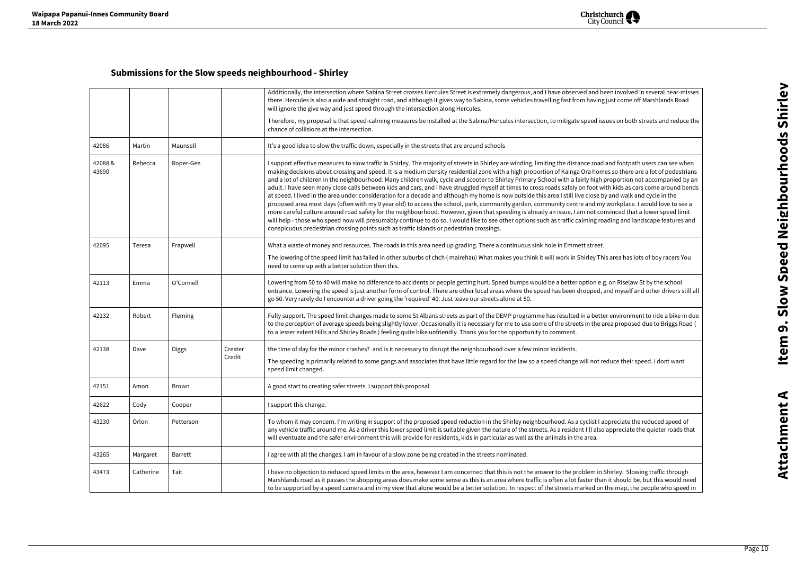|                 |           |              |         | Additionally, the intersection where Sabina Street crosses Hercules Street is extremely dangerous, and I have observed and been involved in several near-misses<br>there. Hercules is also a wide and straight road, and although it gives way to Sabina, some vehicles travelling fast from having just come off Marshlands Road<br>will ignore the give way and just speed through the intersection along Hercules.                                                                                                                                                                                                                                                                                                                                                                                                                                                                                                                                                                                                                                                                                                                                                                                                                                                                                                                                                                                                                      |
|-----------------|-----------|--------------|---------|--------------------------------------------------------------------------------------------------------------------------------------------------------------------------------------------------------------------------------------------------------------------------------------------------------------------------------------------------------------------------------------------------------------------------------------------------------------------------------------------------------------------------------------------------------------------------------------------------------------------------------------------------------------------------------------------------------------------------------------------------------------------------------------------------------------------------------------------------------------------------------------------------------------------------------------------------------------------------------------------------------------------------------------------------------------------------------------------------------------------------------------------------------------------------------------------------------------------------------------------------------------------------------------------------------------------------------------------------------------------------------------------------------------------------------------------|
|                 |           |              |         | Therefore, my proposal is that speed-calming measures be installed at the Sabina/Hercules intersection, to mitigate speed issues on both streets and reduce the<br>chance of collisions at the intersection.                                                                                                                                                                                                                                                                                                                                                                                                                                                                                                                                                                                                                                                                                                                                                                                                                                                                                                                                                                                                                                                                                                                                                                                                                               |
| 42086           | Martin    | Maunsell     |         | It's a good idea to slow the traffic down, especially in the streets that are around schools                                                                                                                                                                                                                                                                                                                                                                                                                                                                                                                                                                                                                                                                                                                                                                                                                                                                                                                                                                                                                                                                                                                                                                                                                                                                                                                                               |
| 42088&<br>43690 | Rebecca   | Roper-Gee    |         | I support effective measures to slow traffic in Shirley. The majority of streets in Shirley are winding, limiting the distance road and footpath users can see when<br>making decisions about crossing and speed. It is a medium density residential zone with a high proportion of Kainga Ora homes so there are a lot of pedestrians<br>and a lot of children in the neighbourhood. Many children walk, cycle and scooter to Shirley Primary School with a fairly high proportion not accompanied by an<br>adult. I have seen many close calls between kids and cars, and I have struggled myself at times to cross roads safely on foot with kids as cars come around bends<br>at speed. I lived in the area under consideration for a decade and although my home is now outside this area I still live close by and walk and cycle in the<br>proposed area most days (often with my 9 year old) to access the school, park, community garden, community centre and my workplace. I would love to see a<br>more careful culture around road safety for the neighbourhood. However, given that speeding is already an issue, I am not convinced that a lower speed limit<br>will help - those who speed now will presumably continue to do so. I would like to see other options such as traffic calming roading and landscape features and<br>conspicuous predestrian crossing points such as traffic islands or pedestrian crossings. |
| 42095           | Teresa    | Frapwell     |         | What a waste of money and resources. The roads in this area need up grading. There a continuous sink hole in Emmett street.                                                                                                                                                                                                                                                                                                                                                                                                                                                                                                                                                                                                                                                                                                                                                                                                                                                                                                                                                                                                                                                                                                                                                                                                                                                                                                                |
|                 |           |              |         | The lowering of the speed limit has failed in other suburbs of chch (mairehau) What makes you think it will work in Shirley This area has lots of boy racers You<br>need to come up with a better solution then this.                                                                                                                                                                                                                                                                                                                                                                                                                                                                                                                                                                                                                                                                                                                                                                                                                                                                                                                                                                                                                                                                                                                                                                                                                      |
| 42113           | Emma      | O'Connell    |         | Lowering from 50 to 40 will make no difference to accidents or people getting hurt. Speed bumps would be a better option e.g. on Riselaw St by the school<br>entrance. Lowering the speed is just another form of control. There are other local areas where the speed has been dropped, and myself and other drivers still all<br>go 50. Very rarely do I encounter a driver going the 'required' 40. Just leave our streets alone at 50.                                                                                                                                                                                                                                                                                                                                                                                                                                                                                                                                                                                                                                                                                                                                                                                                                                                                                                                                                                                                 |
| 42132           | Robert    | Fleming      |         | Fully support. The speed limit changes made to some St Albans streets as part of the DEMP programme has resulted in a better environment to ride a bike in due<br>to the perception of average speeds being slightly lower. Occasionally it is necessary for me to use some of the streets in the area proposed due to Briggs Road (<br>to a lesser extent Hills and Shirley Roads) feeling quite bike unfriendly. Thank you for the opportunity to comment.                                                                                                                                                                                                                                                                                                                                                                                                                                                                                                                                                                                                                                                                                                                                                                                                                                                                                                                                                                               |
| 42138           | Dave      | <b>Diggs</b> | Crester | the time of day for the minor crashes? and is it necessary to disrupt the neighbourhood over a few minor incidents.                                                                                                                                                                                                                                                                                                                                                                                                                                                                                                                                                                                                                                                                                                                                                                                                                                                                                                                                                                                                                                                                                                                                                                                                                                                                                                                        |
|                 |           |              | Credit  | The speeding is primarily related to some gangs and associates that have little regard for the law so a speed change will not reduce their speed. i dont want<br>speed limit changed.                                                                                                                                                                                                                                                                                                                                                                                                                                                                                                                                                                                                                                                                                                                                                                                                                                                                                                                                                                                                                                                                                                                                                                                                                                                      |
| 42151           | Amon      | Brown        |         | A good start to creating safer streets. I support this proposal.                                                                                                                                                                                                                                                                                                                                                                                                                                                                                                                                                                                                                                                                                                                                                                                                                                                                                                                                                                                                                                                                                                                                                                                                                                                                                                                                                                           |
| 42622           | Cody      | Cooper       |         | I support this change.                                                                                                                                                                                                                                                                                                                                                                                                                                                                                                                                                                                                                                                                                                                                                                                                                                                                                                                                                                                                                                                                                                                                                                                                                                                                                                                                                                                                                     |
| 43230           | Orlon     | Petterson    |         | To whom it may concern. I'm writing in support of the proposed speed reduction in the Shirley neighbourhood. As a cyclist I appreciate the reduced speed of<br>any vehicle traffic around me. As a driver this lower speed limit is suitable given the nature of the streets. As a resident I'll also appreciate the quieter roads that<br>will eventuate and the safer environment this will provide for residents, kids in particular as well as the animals in the area.                                                                                                                                                                                                                                                                                                                                                                                                                                                                                                                                                                                                                                                                                                                                                                                                                                                                                                                                                                |
| 43265           | Margaret  | Barrett      |         | I agree with all the changes. I am in favour of a slow zone being created in the streets nominated.                                                                                                                                                                                                                                                                                                                                                                                                                                                                                                                                                                                                                                                                                                                                                                                                                                                                                                                                                                                                                                                                                                                                                                                                                                                                                                                                        |
| 43473           | Catherine | Tait         |         | I have no objection to reduced speed limits in the area, however I am concerned that this is not the answer to the problem in Shirley. Slowing traffic through<br>Marshlands road as it passes the shopping areas does make some sense as this is an area where traffic is often a lot faster than it should be, but this would need<br>to be supported by a speed camera and in my view that alone would be a better solution. In respect of the streets marked on the map, the people who speed in                                                                                                                                                                                                                                                                                                                                                                                                                                                                                                                                                                                                                                                                                                                                                                                                                                                                                                                                       |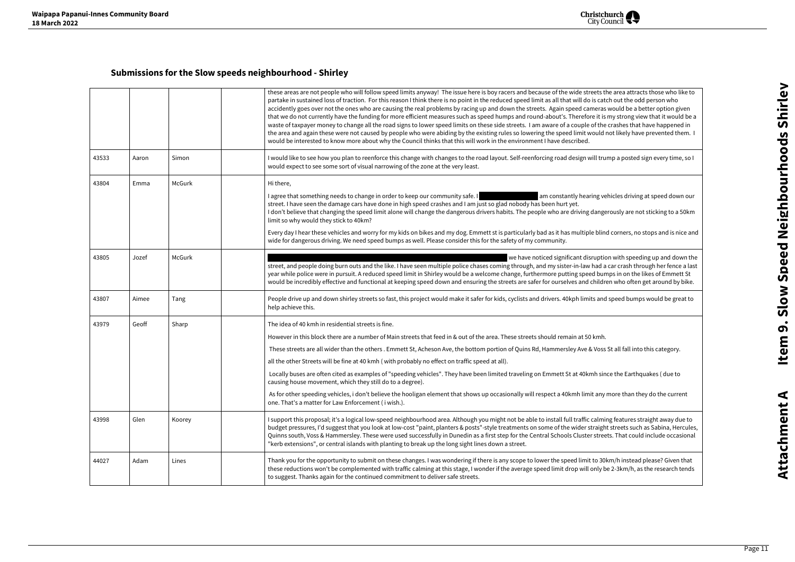|       |       |        | these areas are not people who will follow speed limits anyway! The issue here is boy racers and because of the wide streets the<br>partake in sustained loss of traction. For this reason I think there is no point in the reduced speed limit as all that will do is catch<br>accidently goes over not the ones who are causing the real problems by racing up and down the streets. Again speed cameras wo<br>that we do not currently have the funding for more efficient measures such as speed humps and round-about's. Therefore it is my<br>waste of taxpayer money to change all the road signs to lower speed limits on these side streets. I am aware of a couple of the cra<br>the area and again these were not caused by people who were abiding by the existing rules so lowering the speed limit would not<br>would be interested to know more about why the Council thinks that this will work in the environment I have described. |
|-------|-------|--------|------------------------------------------------------------------------------------------------------------------------------------------------------------------------------------------------------------------------------------------------------------------------------------------------------------------------------------------------------------------------------------------------------------------------------------------------------------------------------------------------------------------------------------------------------------------------------------------------------------------------------------------------------------------------------------------------------------------------------------------------------------------------------------------------------------------------------------------------------------------------------------------------------------------------------------------------------|
| 43533 | Aaron | Simon  | I would like to see how you plan to reenforce this change with changes to the road layout. Self-reenforcing road design will trump<br>would expect to see some sort of visual narrowing of the zone at the very least.                                                                                                                                                                                                                                                                                                                                                                                                                                                                                                                                                                                                                                                                                                                               |
| 43804 | Emma  | McGurk | Hi there,<br>I agree that something needs to change in order to keep our community safe. I<br>am constantly hearing vehic<br>street. I have seen the damage cars have done in high speed crashes and I am just so glad nobody has been hurt yet.<br>I don't believe that changing the speed limit alone will change the dangerous drivers habits. The people who are driving dangero<br>limit so why would they stick to 40km?<br>Every day I hear these vehicles and worry for my kids on bikes and my dog. Emmett st is particularly bad as it has multiple blind c<br>wide for dangerous driving. We need speed bumps as well. Please consider this for the safety of my community.                                                                                                                                                                                                                                                               |
| 43805 | Jozef | McGurk | we have noticed significant disruption<br>street, and people doing burn outs and the like. I have seen multiple police chases coming through, and my sister-in-law had a ca<br>year while police were in pursuit. A reduced speed limit in Shirley would be a welcome change, furthermore putting speed bumps<br>would be incredibly effective and functional at keeping speed down and ensuring the streets are safer for ourselves and children                                                                                                                                                                                                                                                                                                                                                                                                                                                                                                    |
| 43807 | Aimee | Tang   | People drive up and down shirley streets so fast, this project would make it safer for kids, cyclists and drivers. 40kph limits and sp<br>help achieve this.                                                                                                                                                                                                                                                                                                                                                                                                                                                                                                                                                                                                                                                                                                                                                                                         |
| 43979 | Geoff | Sharp  | The idea of 40 kmh in residential streets is fine.<br>However in this block there are a number of Main streets that feed in & out of the area. These streets should remain at 50 kmh.<br>These streets are all wider than the others. Emmett St, Acheson Ave, the bottom portion of Quins Rd, Hammersley Ave & Voss St<br>all the other Streets will be fine at 40 kmh (with probably no effect on traffic speed at all).<br>Locally buses are often cited as examples of "speeding vehicles". They have been limited traveling on Emmett St at 40kmh since<br>causing house movement, which they still do to a degree).<br>As for other speeding vehicles, i don't believe the hooligan element that shows up occasionally will respect a 40kmh limit any mo<br>one. That's a matter for Law Enforcement (i wish.).                                                                                                                                 |
| 43998 | Glen  | Koorey | I support this proposal; it's a logical low-speed neighbourhood area. Although you might not be able to install full traffic calming<br>budget pressures, I'd suggest that you look at low-cost "paint, planters & posts"-style treatments on some of the wider straight st<br>Quinns south, Voss & Hammersley. These were used successfully in Dunedin as a first step for the Central Schools Cluster streets.<br>"kerb extensions", or central islands with planting to break up the long sight lines down a street.                                                                                                                                                                                                                                                                                                                                                                                                                              |
| 44027 | Adam  | Lines  | Thank you for the opportunity to submit on these changes. I was wondering if there is any scope to lower the speed limit to 30km<br>these reductions won't be complemented with traffic calming at this stage, I wonder if the average speed limit drop will only be 2<br>to suggest. Thanks again for the continued commitment to deliver safe streets.                                                                                                                                                                                                                                                                                                                                                                                                                                                                                                                                                                                             |

ts the area attracts those who like to catch out the odd person who ras would be a better option given it is my strong view that it would be a the crashes that have happened in ild not likely have prevented them. I

trump a posted sign every time, so I

g vehicles driving at speed down our

ngerously are not sticking to a 50km

blind corners, no stops and is nice and

ption with speeding up and down the d a car crash through her fence a last bumps in on the likes of Emmett St ildren who often get around by bike.

and speed bumps would be great to

oss St all fall into this category.

since the Earthquakes ( due to

Iny more than they do the current

lming features straight away due to ight streets such as Sabina, Hercules, treets. That could include occasional

30km/h instead please? Given that ly be 2-3km/h, as the research tends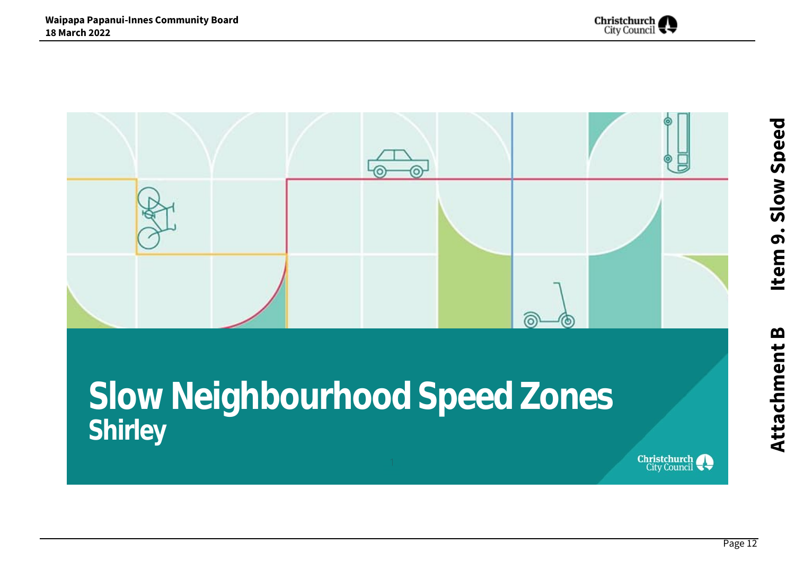



# <span id="page-11-0"></span>**Slow Neighbourhood Speed Zones Shirley**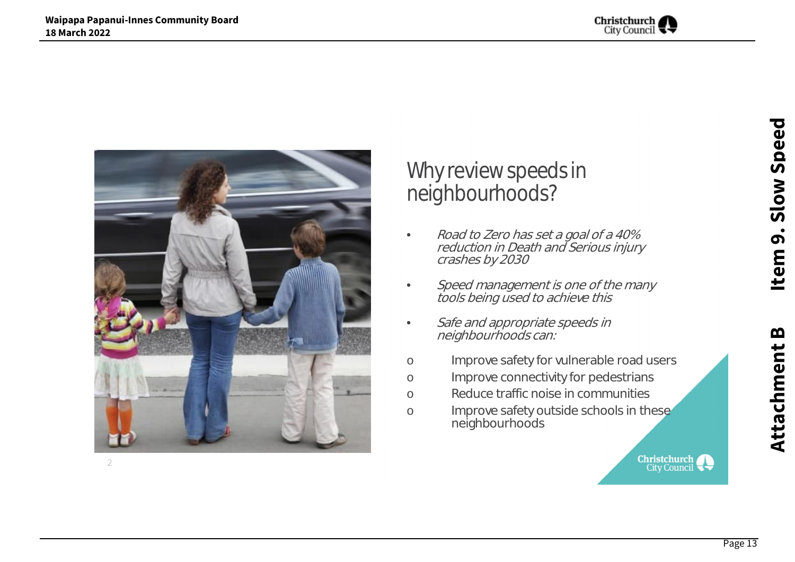



### Why review speeds in neighbourhoods?

- Road to Zero has set a goal of a 40% reduction in Death and Serious injury crashes by 2030
- Speed management is one of the many tools being used to achieve this
- Safe and appropriate speeds in neighbourhoods can:
- o Improve safety for vulnerable road users
- o Improve connectivity for pedestrians
- o Reduce traffic noise in communities
- o Improve safety outside schools in these neighbourhoods

Christchurch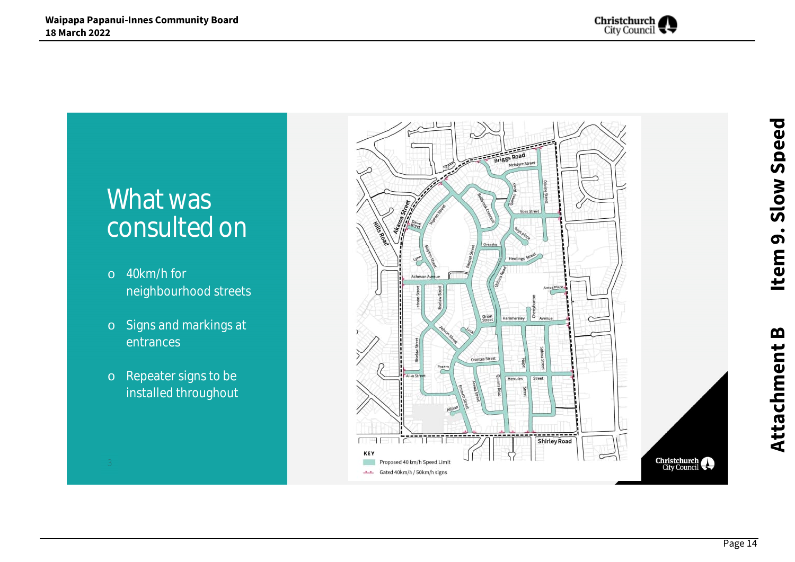

## What was consulted on

- o 40km/h for neighbourhood streets
- o Signs and markings at entrances
- o Repeater signs to be installed throughout